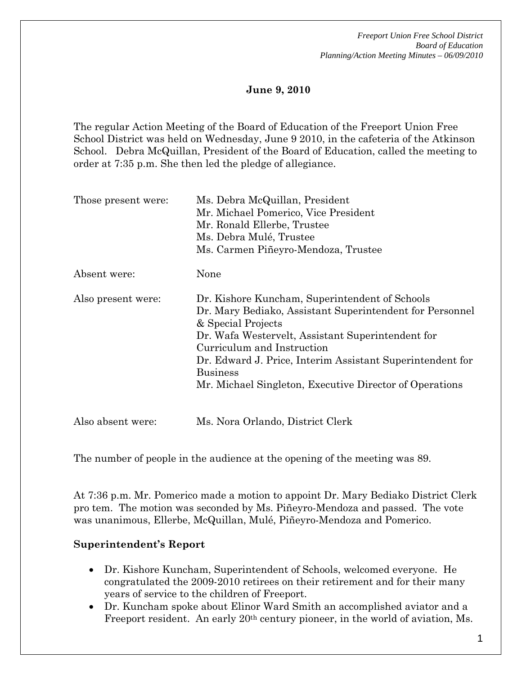# **June 9, 2010**

The regular Action Meeting of the Board of Education of the Freeport Union Free School District was held on Wednesday, June 9 2010, in the cafeteria of the Atkinson School. Debra McQuillan, President of the Board of Education, called the meeting to order at 7:35 p.m. She then led the pledge of allegiance.

| Those present were: | Ms. Debra McQuillan, President<br>Mr. Michael Pomerico, Vice President<br>Mr. Ronald Ellerbe, Trustee<br>Ms. Debra Mulé, Trustee<br>Ms. Carmen Piñeyro-Mendoza, Trustee                                                                                                                                                                                        |
|---------------------|----------------------------------------------------------------------------------------------------------------------------------------------------------------------------------------------------------------------------------------------------------------------------------------------------------------------------------------------------------------|
| Absent were:        | None                                                                                                                                                                                                                                                                                                                                                           |
| Also present were:  | Dr. Kishore Kuncham, Superintendent of Schools<br>Dr. Mary Bediako, Assistant Superintendent for Personnel<br>& Special Projects<br>Dr. Wafa Westervelt, Assistant Superintendent for<br>Curriculum and Instruction<br>Dr. Edward J. Price, Interim Assistant Superintendent for<br><b>Business</b><br>Mr. Michael Singleton, Executive Director of Operations |
| Also absent were:   | Ms. Nora Orlando, District Clerk                                                                                                                                                                                                                                                                                                                               |

The number of people in the audience at the opening of the meeting was 89.

At 7:36 p.m. Mr. Pomerico made a motion to appoint Dr. Mary Bediako District Clerk pro tem. The motion was seconded by Ms. Piñeyro-Mendoza and passed. The vote was unanimous, Ellerbe, McQuillan, Mulé, Piñeyro-Mendoza and Pomerico.

# **Superintendent's Report**

- Dr. Kishore Kuncham, Superintendent of Schools, welcomed everyone. He congratulated the 2009-2010 retirees on their retirement and for their many years of service to the children of Freeport.
- Dr. Kuncham spoke about Elinor Ward Smith an accomplished aviator and a Freeport resident. An early 20<sup>th</sup> century pioneer, in the world of aviation, Ms.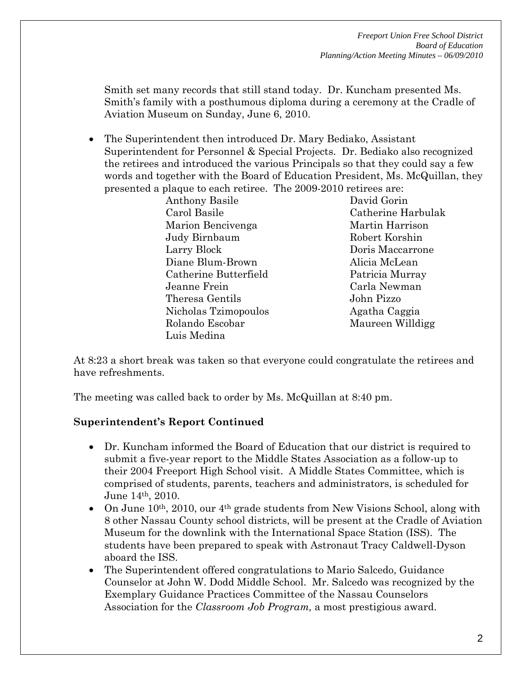Smith set many records that still stand today. Dr. Kuncham presented Ms. Smith's family with a posthumous diploma during a ceremony at the Cradle of Aviation Museum on Sunday, June 6, 2010.

 The Superintendent then introduced Dr. Mary Bediako, Assistant Superintendent for Personnel & Special Projects. Dr. Bediako also recognized the retirees and introduced the various Principals so that they could say a few words and together with the Board of Education President, Ms. McQuillan, they presented a plaque to each retiree. The 2009-2010 retirees are:

> Anthony Basile David Gorin Carol Basile Catherine Harbulak Marion Bencivenga Martin Harrison Judy Birnbaum Robert Korshin Larry Block Doris Maccarrone Diane Blum-Brown Alicia McLean Catherine Butterfield Patricia Murray Jeanne Frein Carla Newman Theresa Gentils John Pizzo Nicholas Tzimopoulos Agatha Caggia Rolando Escobar Maureen Willdigg Luis Medina

At 8:23 a short break was taken so that everyone could congratulate the retirees and have refreshments.

The meeting was called back to order by Ms. McQuillan at 8:40 pm.

# **Superintendent's Report Continued**

- Dr. Kuncham informed the Board of Education that our district is required to submit a five-year report to the Middle States Association as a follow-up to their 2004 Freeport High School visit. A Middle States Committee, which is comprised of students, parents, teachers and administrators, is scheduled for June 14th, 2010.
- On June  $10^{th}$ ,  $2010$ , our  $4^{th}$  grade students from New Visions School, along with 8 other Nassau County school districts, will be present at the Cradle of Aviation Museum for the downlink with the International Space Station (ISS). The students have been prepared to speak with Astronaut Tracy Caldwell-Dyson aboard the ISS.
- The Superintendent offered congratulations to Mario Salcedo, Guidance Counselor at John W. Dodd Middle School. Mr. Salcedo was recognized by the Exemplary Guidance Practices Committee of the Nassau Counselors Association for the *Classroom Job Program,* a most prestigious award.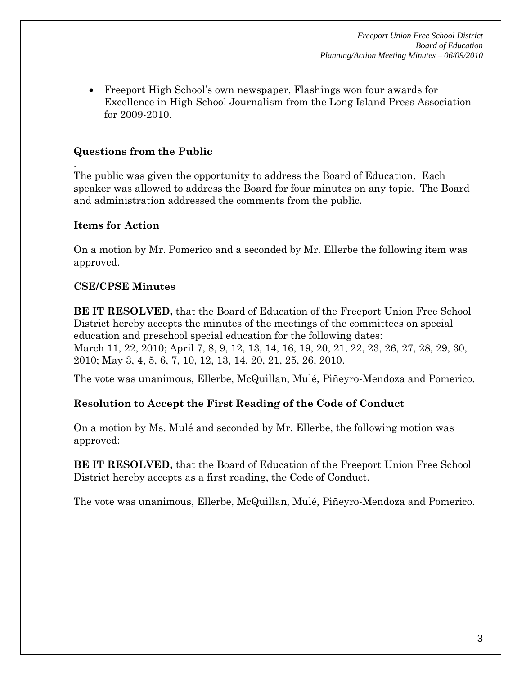*Freeport Union Free School District Board of Education Planning/Action Meeting Minutes – 06/09/2010* 

 Freeport High School's own newspaper, Flashings won four awards for Excellence in High School Journalism from the Long Island Press Association for 2009-2010.

# **Questions from the Public**

The public was given the opportunity to address the Board of Education. Each speaker was allowed to address the Board for four minutes on any topic. The Board and administration addressed the comments from the public.

# **Items for Action**

.

On a motion by Mr. Pomerico and a seconded by Mr. Ellerbe the following item was approved.

### **CSE/CPSE Minutes**

**BE IT RESOLVED,** that the Board of Education of the Freeport Union Free School District hereby accepts the minutes of the meetings of the committees on special education and preschool special education for the following dates: March 11, 22, 2010; April 7, 8, 9, 12, 13, 14, 16, 19, 20, 21, 22, 23, 26, 27, 28, 29, 30, 2010; May 3, 4, 5, 6, 7, 10, 12, 13, 14, 20, 21, 25, 26, 2010.

The vote was unanimous, Ellerbe, McQuillan, Mulé, Piñeyro-Mendoza and Pomerico.

# **Resolution to Accept the First Reading of the Code of Conduct**

On a motion by Ms. Mulé and seconded by Mr. Ellerbe, the following motion was approved:

**BE IT RESOLVED,** that the Board of Education of the Freeport Union Free School District hereby accepts as a first reading, the Code of Conduct.

The vote was unanimous, Ellerbe, McQuillan, Mulé, Piñeyro-Mendoza and Pomerico.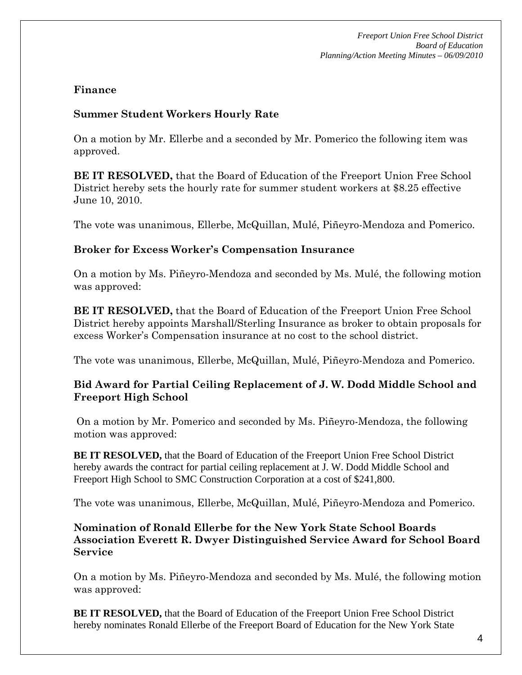*Freeport Union Free School District Board of Education Planning/Action Meeting Minutes – 06/09/2010* 

### **Finance**

### **Summer Student Workers Hourly Rate**

On a motion by Mr. Ellerbe and a seconded by Mr. Pomerico the following item was approved.

**BE IT RESOLVED,** that the Board of Education of the Freeport Union Free School District hereby sets the hourly rate for summer student workers at \$8.25 effective June 10, 2010.

The vote was unanimous, Ellerbe, McQuillan, Mulé, Piñeyro-Mendoza and Pomerico.

#### **Broker for Excess Worker's Compensation Insurance**

On a motion by Ms. Piñeyro-Mendoza and seconded by Ms. Mulé, the following motion was approved:

**BE IT RESOLVED,** that the Board of Education of the Freeport Union Free School District hereby appoints Marshall/Sterling Insurance as broker to obtain proposals for excess Worker's Compensation insurance at no cost to the school district.

The vote was unanimous, Ellerbe, McQuillan, Mulé, Piñeyro-Mendoza and Pomerico.

### **Bid Award for Partial Ceiling Replacement of J. W. Dodd Middle School and Freeport High School**

On a motion by Mr. Pomerico and seconded by Ms. Piñeyro-Mendoza, the following motion was approved:

**BE IT RESOLVED,** that the Board of Education of the Freeport Union Free School District hereby awards the contract for partial ceiling replacement at J. W. Dodd Middle School and Freeport High School to SMC Construction Corporation at a cost of \$241,800.

The vote was unanimous, Ellerbe, McQuillan, Mulé, Piñeyro-Mendoza and Pomerico.

**Nomination of Ronald Ellerbe for the New York State School Boards Association Everett R. Dwyer Distinguished Service Award for School Board Service** 

On a motion by Ms. Piñeyro-Mendoza and seconded by Ms. Mulé, the following motion was approved:

**BE IT RESOLVED,** that the Board of Education of the Freeport Union Free School District hereby nominates Ronald Ellerbe of the Freeport Board of Education for the New York State